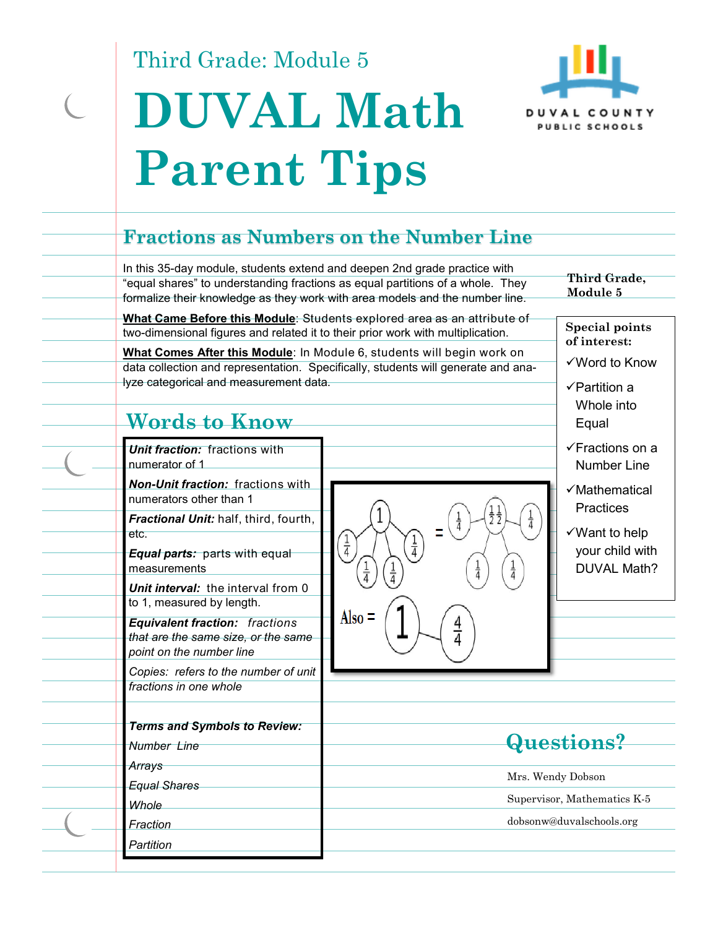Third Grade: Module 5

 $\subset$ 

> i<br>Li

 $\overline{\phantom{0}}$ 

j. j.

 $\overline{\phantom{a}}$ 

j.

# **DUVAL Math Parent Tips**



## **Fractions as Numbers on the Number Line**

| In this 35-day module, students extend and deepen 2nd grade practice with<br>two-dimensional figures and related it to their prior work with multiplication.<br>lyze categorical and measurement data.<br>Words to Know<br>Unit fraction: fractions with<br>numerator of 1<br><b>Non-Unit fraction:</b> fractions with<br>numerators other than 1      | "equal shares" to understanding fractions as equal partitions of a whole. They<br>formalize their knowledge as they work with area models and the number line.<br>What Came Before this Module: Students explored area as an attribute of<br>What Comes After this Module: In Module 6, students will begin work on<br>data collection and representation. Specifically, students will generate and ana- | Third Grade,<br>Module 5<br><b>Special points</b><br>of interest:<br>√Word to Know<br>$\checkmark$ Partition a<br>Whole into<br>Equal<br><b>√Fractions on a</b><br><b>Number Line</b><br>√Mathematical |
|--------------------------------------------------------------------------------------------------------------------------------------------------------------------------------------------------------------------------------------------------------------------------------------------------------------------------------------------------------|----------------------------------------------------------------------------------------------------------------------------------------------------------------------------------------------------------------------------------------------------------------------------------------------------------------------------------------------------------------------------------------------------------|--------------------------------------------------------------------------------------------------------------------------------------------------------------------------------------------------------|
| Fractional Unit: half, third, fourth,<br>etc.<br><b>Equal parts:</b> parts with equal<br>measurements<br>Unit interval: the interval from 0<br>to 1, measured by length.<br><b>Equivalent fraction: fractions</b><br>that are the same size, or the same<br>point on the number line<br>Copies: refers to the number of unit<br>fractions in one whole | $\frac{1}{4}$<br>$\frac{1}{4}$<br>$\frac{1}{4}$<br>Also $=$<br>$\frac{4}{4}$                                                                                                                                                                                                                                                                                                                             | <b>Practices</b><br>$\checkmark$ Want to help<br>your child with<br><b>DUVAL Math?</b>                                                                                                                 |
| <b>Terms and Symbols to Review:</b><br>Number Line<br>Arrays<br><b>Equal Shares</b><br>Whole<br>Fraction<br>Partition                                                                                                                                                                                                                                  |                                                                                                                                                                                                                                                                                                                                                                                                          | Questions?<br>Mrs. Wendy Dobson<br>Supervisor, Mathematics K-5<br>dobsonw@duvalschools.org                                                                                                             |
|                                                                                                                                                                                                                                                                                                                                                        |                                                                                                                                                                                                                                                                                                                                                                                                          |                                                                                                                                                                                                        |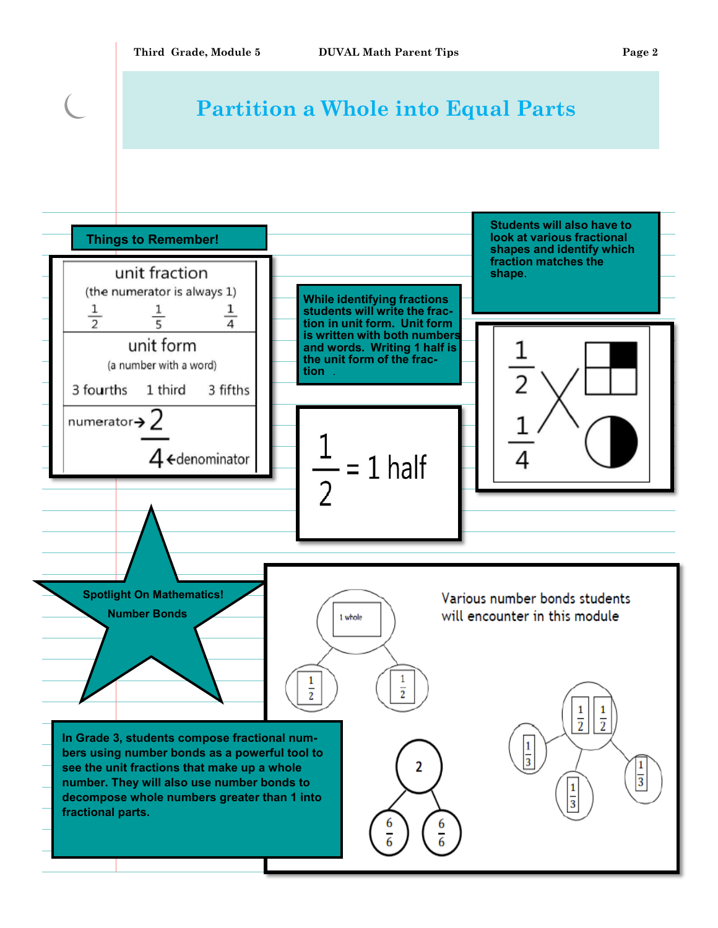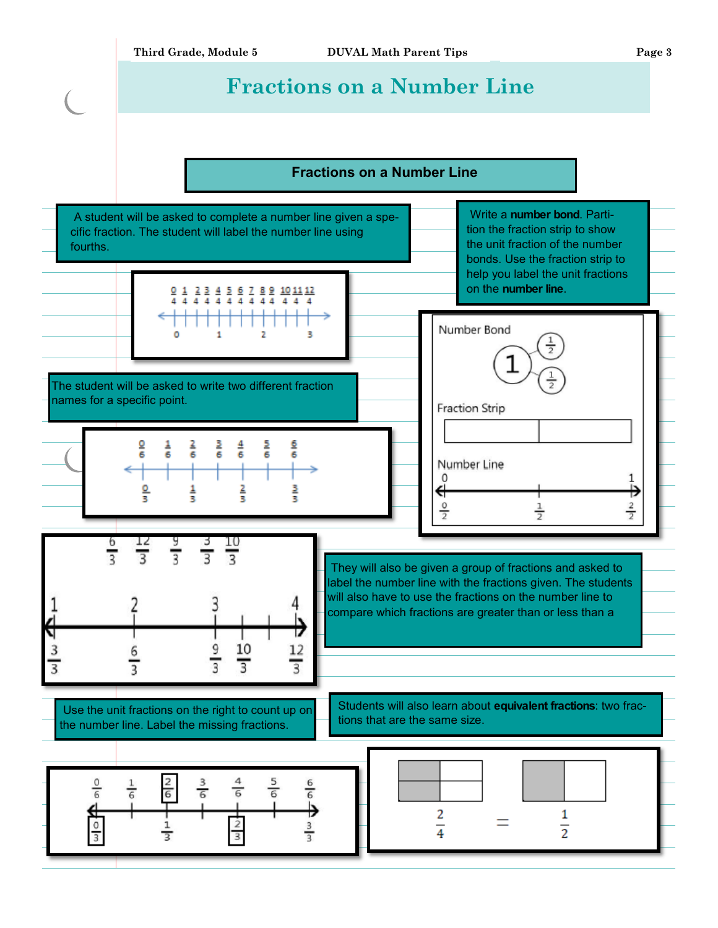